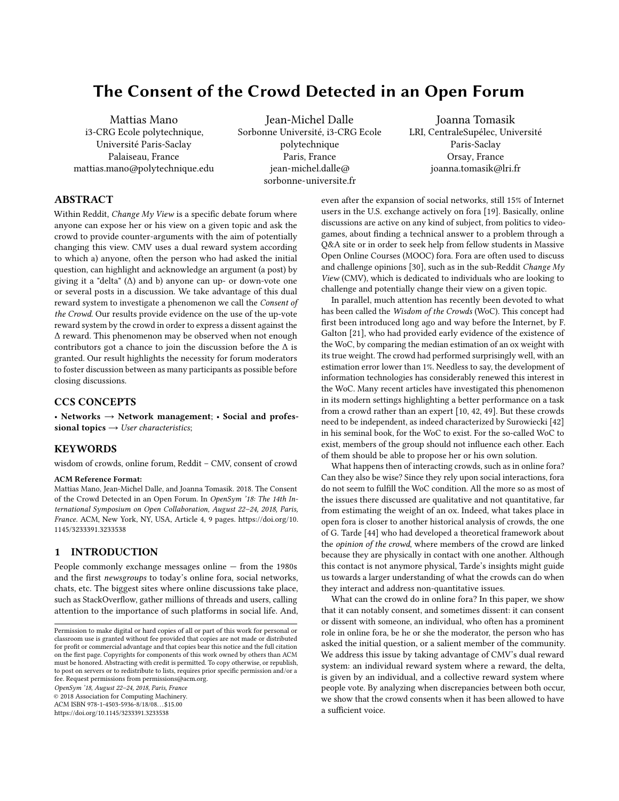# The Consent of the Crowd Detected in an Open Forum

Mattias Mano i3-CRG Ecole polytechnique, Université Paris-Saclay Palaiseau, France mattias.mano@polytechnique.edu

Jean-Michel Dalle Sorbonne Université, i3-CRG Ecole polytechnique Paris, France jean-michel.dalle@ sorbonne-universite.fr

Joanna Tomasik LRI, CentraleSupélec, Université Paris-Saclay Orsay, France joanna.tomasik@lri.fr

# ABSTRACT

Within Reddit, *Change My View* is a specific debate forum where anyone can expose her or his view on a given topic and ask the crowd to provide counter-arguments with the aim of potentially changing this view. CMV uses a dual reward system according to which a) anyone, often the person who had asked the initial question, can highlight and acknowledge an argument (a post) by giving it a "delta"  $(\Delta)$  and b) anyone can up- or down-vote one or several posts in a discussion. We take advantage of this dual reward system to investigate a phenomenon we call the Consent of the Crowd. Our results provide evidence on the use of the up-vote reward system by the crowd in order to express a dissent against the ∆ reward. This phenomenon may be observed when not enough contributors got a chance to join the discussion before the ∆ is granted. Our result highlights the necessity for forum moderators to foster discussion between as many participants as possible before closing discussions.

### CCS CONCEPTS

• Networks  $\rightarrow$  Network management; • Social and professional topics  $\rightarrow$  User characteristics;

### **KEYWORDS**

wisdom of crowds, online forum, Reddit – CMV, consent of crowd

### ACM Reference Format:

Mattias Mano, Jean-Michel Dalle, and Joanna Tomasik. 2018. The Consent of the Crowd Detected in an Open Forum. In OpenSym '18: The 14th International Symposium on Open Collaboration, August 22–24, 2018, Paris, France. ACM, New York, NY, USA, Article 4, [9](#page-8-0) pages. [https://doi.org/10.](https://doi.org/10.1145/3233391.3233538) [1145/3233391.3233538](https://doi.org/10.1145/3233391.3233538)

# 1 INTRODUCTION

People commonly exchange messages online — from the 1980s and the first newsgroups to today's online fora, social networks, chats, etc. The biggest sites where online discussions take place, such as StackOverflow, gather millions of threads and users, calling attention to the importance of such platforms in social life. And,

OpenSym '18, August 22–24, 2018, Paris, France

© 2018 Association for Computing Machinery.

ACM ISBN 978-1-4503-5936-8/18/08. . . \$15.00

<https://doi.org/10.1145/3233391.3233538>

even after the expansion of social networks, still 15% of Internet users in the U.S. exchange actively on fora [\[19\]](#page-7-0). Basically, online discussions are active on any kind of subject, from politics to videogames, about finding a technical answer to a problem through a Q&A site or in order to seek help from fellow students in Massive Open Online Courses (MOOC) fora. Fora are often used to discuss and challenge opinions [\[30\]](#page-8-1), such as in the sub-Reddit Change My View (CMV), which is dedicated to individuals who are looking to challenge and potentially change their view on a given topic.

In parallel, much attention has recently been devoted to what has been called the Wisdom of the Crowds (WoC). This concept had first been introduced long ago and way before the Internet, by F. Galton [\[21\]](#page-7-1), who had provided early evidence of the existence of the WoC, by comparing the median estimation of an ox weight with its true weight. The crowd had performed surprisingly well, with an estimation error lower than 1%. Needless to say, the development of information technologies has considerably renewed this interest in the WoC. Many recent articles have investigated this phenomenon in its modern settings highlighting a better performance on a task from a crowd rather than an expert [\[10,](#page-7-2) [42,](#page-8-2) [49\]](#page-8-3). But these crowds need to be independent, as indeed characterized by Surowiecki [\[42\]](#page-8-2) in his seminal book, for the WoC to exist. For the so-called WoC to exist, members of the group should not influence each other. Each of them should be able to propose her or his own solution.

What happens then of interacting crowds, such as in online fora? Can they also be wise? Since they rely upon social interactions, fora do not seem to fulfill the WoC condition. All the more so as most of the issues there discussed are qualitative and not quantitative, far from estimating the weight of an ox. Indeed, what takes place in open fora is closer to another historical analysis of crowds, the one of G. Tarde [\[44\]](#page-8-4) who had developed a theoretical framework about the opinion of the crowd, where members of the crowd are linked because they are physically in contact with one another. Although this contact is not anymore physical, Tarde's insights might guide us towards a larger understanding of what the crowds can do when they interact and address non-quantitative issues.

What can the crowd do in online fora? In this paper, we show that it can notably consent, and sometimes dissent: it can consent or dissent with someone, an individual, who often has a prominent role in online fora, be he or she the moderator, the person who has asked the initial question, or a salient member of the community. We address this issue by taking advantage of CMV's dual reward system: an individual reward system where a reward, the delta, is given by an individual, and a collective reward system where people vote. By analyzing when discrepancies between both occur, we show that the crowd consents when it has been allowed to have a sufficient voice.

Permission to make digital or hard copies of all or part of this work for personal or classroom use is granted without fee provided that copies are not made or distributed for profit or commercial advantage and that copies bear this notice and the full citation on the first page. Copyrights for components of this work owned by others than ACM must be honored. Abstracting with credit is permitted. To copy otherwise, or republish, to post on servers or to redistribute to lists, requires prior specific permission and/or a fee. Request permissions from permissions@acm.org.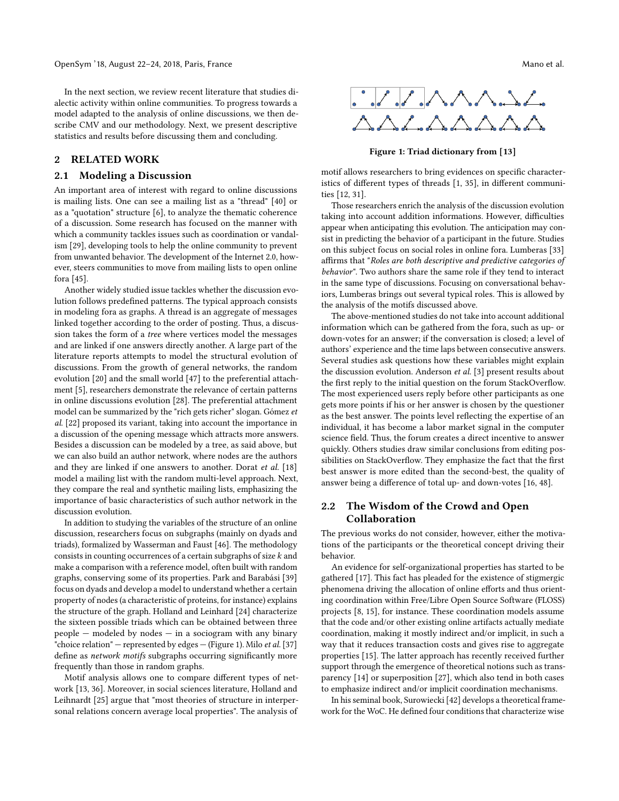In the next section, we review recent literature that studies dialectic activity within online communities. To progress towards a model adapted to the analysis of online discussions, we then describe CMV and our methodology. Next, we present descriptive statistics and results before discussing them and concluding.

## 2 RELATED WORK

#### 2.1 Modeling a Discussion

An important area of interest with regard to online discussions is mailing lists. One can see a mailing list as a "thread" [\[40\]](#page-8-5) or as a "quotation" structure [\[6\]](#page-7-3), to analyze the thematic coherence of a discussion. Some research has focused on the manner with which a community tackles issues such as coordination or vandalism [\[29\]](#page-8-6), developing tools to help the online community to prevent from unwanted behavior. The development of the Internet 2.0, however, steers communities to move from mailing lists to open online fora [\[45\]](#page-8-7).

Another widely studied issue tackles whether the discussion evolution follows predefined patterns. The typical approach consists in modeling fora as graphs. A thread is an aggregate of messages linked together according to the order of posting. Thus, a discussion takes the form of a tree where vertices model the messages and are linked if one answers directly another. A large part of the literature reports attempts to model the structural evolution of discussions. From the growth of general networks, the random evolution [\[20\]](#page-7-4) and the small world [\[47\]](#page-8-8) to the preferential attachment [\[5\]](#page-7-5), researchers demonstrate the relevance of certain patterns in online discussions evolution [\[28\]](#page-7-6). The preferential attachment model can be summarized by the "rich gets richer" slogan. Gómez et al. [\[22\]](#page-7-7) proposed its variant, taking into account the importance in a discussion of the opening message which attracts more answers. Besides a discussion can be modeled by a tree, as said above, but we can also build an author network, where nodes are the authors and they are linked if one answers to another. Dorat et al. [\[18\]](#page-7-8) model a mailing list with the random multi-level approach. Next, they compare the real and synthetic mailing lists, emphasizing the importance of basic characteristics of such author network in the discussion evolution.

In addition to studying the variables of the structure of an online discussion, researchers focus on subgraphs (mainly on dyads and triads), formalized by Wasserman and Faust [\[46\]](#page-8-9). The methodology consists in counting occurrences of a certain subgraphs of size k and make a comparison with a reference model, often built with random graphs, conserving some of its properties. Park and Barabási [\[39\]](#page-8-10) focus on dyads and develop a model to understand whether a certain property of nodes (a characteristic of proteins, for instance) explains the structure of the graph. Holland and Leinhard [\[24\]](#page-7-9) characterize the sixteen possible triads which can be obtained between three people — modeled by nodes — in a sociogram with any binary "choice relation" - represented by edges - (Figure [1\)](#page-1-0). Milo et al. [\[37\]](#page-8-11) define as network motifs subgraphs occurring significantly more frequently than those in random graphs.

Motif analysis allows one to compare different types of network [\[13,](#page-7-10) [36\]](#page-8-12). Moreover, in social sciences literature, Holland and Leihnardt [\[25\]](#page-7-11) argue that "most theories of structure in interpersonal relations concern average local properties". The analysis of

<span id="page-1-0"></span>

Figure 1: Triad dictionary from [\[13\]](#page-7-10)

motif allows researchers to bring evidences on specific characteristics of different types of threads [\[1,](#page-7-12) [35\]](#page-8-13), in different communities [\[12,](#page-7-13) [31\]](#page-8-14).

Those researchers enrich the analysis of the discussion evolution taking into account addition informations. However, difficulties appear when anticipating this evolution. The anticipation may consist in predicting the behavior of a participant in the future. Studies on this subject focus on social roles in online fora. Lumberas [\[33\]](#page-8-15) affirms that "Roles are both descriptive and predictive categories of behavior". Two authors share the same role if they tend to interact in the same type of discussions. Focusing on conversational behaviors, Lumberas brings out several typical roles. This is allowed by the analysis of the motifs discussed above.

The above-mentioned studies do not take into account additional information which can be gathered from the fora, such as up- or down-votes for an answer; if the conversation is closed; a level of authors' experience and the time laps between consecutive answers. Several studies ask questions how these variables might explain the discussion evolution. Anderson et al. [\[3\]](#page-7-14) present results about the first reply to the initial question on the forum StackOverflow. The most experienced users reply before other participants as one gets more points if his or her answer is chosen by the questioner as the best answer. The points level reflecting the expertise of an individual, it has become a labor market signal in the computer science field. Thus, the forum creates a direct incentive to answer quickly. Others studies draw similar conclusions from editing possibilities on StackOverflow. They emphasize the fact that the first best answer is more edited than the second-best, the quality of answer being a difference of total up- and down-votes [\[16,](#page-7-15) [48\]](#page-8-16).

# <span id="page-1-1"></span>2.2 The Wisdom of the Crowd and Open Collaboration

The previous works do not consider, however, either the motivations of the participants or the theoretical concept driving their behavior.

An evidence for self-organizational properties has started to be gathered [\[17\]](#page-7-16). This fact has pleaded for the existence of stigmergic phenomena driving the allocation of online efforts and thus orienting coordination within Free/Libre Open Source Software (FLOSS) projects [\[8,](#page-7-17) [15\]](#page-7-18), for instance. These coordination models assume that the code and/or other existing online artifacts actually mediate coordination, making it mostly indirect and/or implicit, in such a way that it reduces transaction costs and gives rise to aggregate properties [\[15\]](#page-7-18). The latter approach has recently received further support through the emergence of theoretical notions such as transparency [\[14\]](#page-7-19) or superposition [\[27\]](#page-7-20), which also tend in both cases to emphasize indirect and/or implicit coordination mechanisms.

In his seminal book, Surowiecki [\[42\]](#page-8-2) develops a theoretical framework for the WoC. He defined four conditions that characterize wise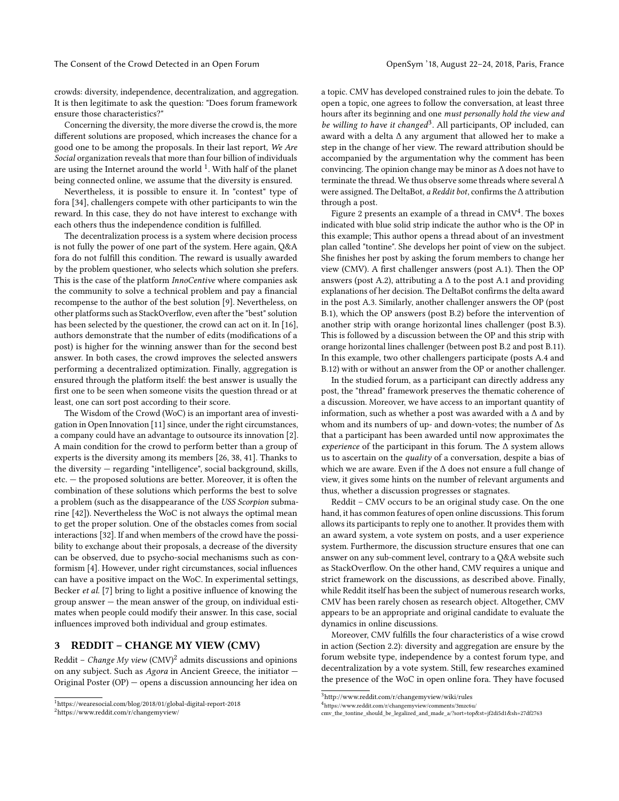crowds: diversity, independence, decentralization, and aggregation. It is then legitimate to ask the question: "Does forum framework ensure those characteristics?"

Concerning the diversity, the more diverse the crowd is, the more different solutions are proposed, which increases the chance for a good one to be among the proposals. In their last report, We Are Social organization reveals that more than four billion of individuals are using the Internet around the world  $^1$  $^1$ . With half of the planet being connected online, we assume that the diversity is ensured.

Nevertheless, it is possible to ensure it. In "contest" type of fora [\[34\]](#page-8-17), challengers compete with other participants to win the reward. In this case, they do not have interest to exchange with each others thus the independence condition is fulfilled.

The decentralization process is a system where decision process is not fully the power of one part of the system. Here again, Q&A fora do not fulfill this condition. The reward is usually awarded by the problem questioner, who selects which solution she prefers. This is the case of the platform InnoCentive where companies ask the community to solve a technical problem and pay a financial recompense to the author of the best solution [\[9\]](#page-7-21). Nevertheless, on other platforms such as StackOverflow, even after the "best" solution has been selected by the questioner, the crowd can act on it. In [\[16\]](#page-7-15), authors demonstrate that the number of edits (modifications of a post) is higher for the winning answer than for the second best answer. In both cases, the crowd improves the selected answers performing a decentralized optimization. Finally, aggregation is ensured through the platform itself: the best answer is usually the first one to be seen when someone visits the question thread or at least, one can sort post according to their score.

The Wisdom of the Crowd (WoC) is an important area of investigation in Open Innovation [\[11\]](#page-7-22) since, under the right circumstances, a company could have an advantage to outsource its innovation [\[2\]](#page-7-23). A main condition for the crowd to perform better than a group of experts is the diversity among its members [\[26,](#page-7-24) [38,](#page-8-18) [41\]](#page-8-19). Thanks to the diversity — regarding "intelligence", social background, skills, etc. — the proposed solutions are better. Moreover, it is often the combination of these solutions which performs the best to solve a problem (such as the disappearance of the USS Scorpion submarine [\[42\]](#page-8-2)). Nevertheless the WoC is not always the optimal mean to get the proper solution. One of the obstacles comes from social interactions [\[32\]](#page-8-20). If and when members of the crowd have the possibility to exchange about their proposals, a decrease of the diversity can be observed, due to psycho-social mechanisms such as conformism [\[4\]](#page-7-25). However, under right circumstances, social influences can have a positive impact on the WoC. In experimental settings, Becker et al. [\[7\]](#page-7-26) bring to light a positive influence of knowing the group answer — the mean answer of the group, on individual estimates when people could modify their answer. In this case, social influences improved both individual and group estimates.

# 3 REDDIT – CHANGE MY VIEW (CMV)

Reddit – *Change My view* (CMV) $^2$  $^2$  admits discussions and opinions on any subject. Such as Agora in Ancient Greece, the initiator — Original Poster (OP) — opens a discussion announcing her idea on

<span id="page-2-1"></span><sup>2</sup>https://www.reddit.com/r/changemyview/

a topic. CMV has developed constrained rules to join the debate. To open a topic, one agrees to follow the conversation, at least three hours after its beginning and one must personally hold the view and be willing to have it changed<sup>[3](#page-2-2)</sup>. All participants, OP included, can award with a delta ∆ any argument that allowed her to make a step in the change of her view. The reward attribution should be accompanied by the argumentation why the comment has been convincing. The opinion change may be minor as ∆ does not have to terminate the thread. We thus observe some threads where several ∆ were assigned. The DeltaBot, a Reddit bot, confirms the ∆ attribution through a post.

Figure [2](#page-3-0) presents an example of a thread in  $\text{CMV}^4$  $\text{CMV}^4$ . The boxes indicated with blue solid strip indicate the author who is the OP in this example; This author opens a thread about of an investment plan called "tontine". She develops her point of view on the subject. She finishes her post by asking the forum members to change her view (CMV). A first challenger answers (post A.1). Then the OP answers (post A.2), attributing a  $\Delta$  to the post A.1 and providing explanations of her decision. The DeltaBot confirms the delta award in the post A.3. Similarly, another challenger answers the OP (post B.1), which the OP answers (post B.2) before the intervention of another strip with orange horizontal lines challenger (post B.3). This is followed by a discussion between the OP and this strip with orange horizontal lines challenger (between post B.2 and post B.11). In this example, two other challengers participate (posts A.4 and B.12) with or without an answer from the OP or another challenger.

In the studied forum, as a participant can directly address any post, the "thread" framework preserves the thematic coherence of a discussion. Moreover, we have access to an important quantity of information, such as whether a post was awarded with a  $\Delta$  and by whom and its numbers of up- and down-votes; the number of ∆<sup>s</sup> that a participant has been awarded until now approximates the experience of the participant in this forum. The ∆ system allows us to ascertain on the quality of a conversation, despite a bias of which we are aware. Even if the ∆ does not ensure a full change of view, it gives some hints on the number of relevant arguments and thus, whether a discussion progresses or stagnates.

Reddit – CMV occurs to be an original study case. On the one hand, it has common features of open online discussions. This forum allows its participants to reply one to another. It provides them with an award system, a vote system on posts, and a user experience system. Furthermore, the discussion structure ensures that one can answer on any sub-comment level, contrary to a Q&A website such as StackOverflow. On the other hand, CMV requires a unique and strict framework on the discussions, as described above. Finally, while Reddit itself has been the subject of numerous research works, CMV has been rarely chosen as research object. Altogether, CMV appears to be an appropriate and original candidate to evaluate the dynamics in online discussions.

Moreover, CMV fulfills the four characteristics of a wise crowd in action (Section [2.2\)](#page-1-1): diversity and aggregation are ensure by the forum website type, independence by a contest forum type, and decentralization by a vote system. Still, few researches examined the presence of the WoC in open online fora. They have focused

<span id="page-2-0"></span><sup>1</sup>https://wearesocial.com/blog/2018/01/global-digital-report-2018

<span id="page-2-2"></span><sup>3</sup>http://www.reddit.com/r/changemyview/wiki/rules

<span id="page-2-3"></span><sup>4</sup> https://www.reddit.com/r/changemyview/comments/3mzc6u/

cmv\_the\_tontine\_should\_be\_legalized\_and\_made\_a/?sort=top&st=jf2di5d1&sh=27df2763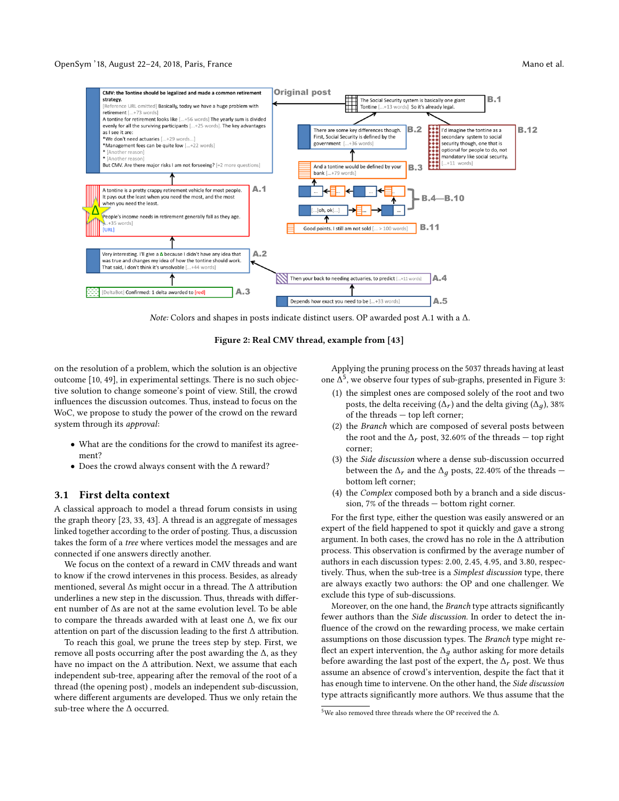<span id="page-3-0"></span>

Note: Colors and shapes in posts indicate distinct users. OP awarded post A.1 with a ∆.

Figure 2: Real CMV thread, example from [\[43\]](#page-8-21)

on the resolution of a problem, which the solution is an objective outcome [\[10,](#page-7-2) [49\]](#page-8-3), in experimental settings. There is no such objective solution to change someone's point of view. Still, the crowd influences the discussion outcomes. Thus, instead to focus on the WoC, we propose to study the power of the crowd on the reward system through its approval:

- What are the conditions for the crowd to manifest its agreement?
- Does the crowd always consent with the ∆ reward?

# <span id="page-3-2"></span>3.1 First delta context

A classical approach to model a thread forum consists in using the graph theory [\[23,](#page-7-27) [33,](#page-8-15) [43\]](#page-8-21). A thread is an aggregate of messages linked together according to the order of posting. Thus, a discussion takes the form of a tree where vertices model the messages and are connected if one answers directly another.

We focus on the context of a reward in CMV threads and want to know if the crowd intervenes in this process. Besides, as already mentioned, several ∆s might occur in a thread. The ∆ attribution underlines a new step in the discussion. Thus, threads with different number of ∆s are not at the same evolution level. To be able to compare the threads awarded with at least one ∆, we fix our attention on part of the discussion leading to the first ∆ attribution.

To reach this goal, we prune the trees step by step. First, we remove all posts occurring after the post awarding the ∆, as they have no impact on the ∆ attribution. Next, we assume that each independent sub-tree, appearing after the removal of the root of a thread (the opening post) , models an independent sub-discussion, where different arguments are developed. Thus we only retain the sub-tree where the ∆ occurred.

Applying the pruning process on the 5037 threads having at least one  $Δ^5$  $Δ^5$ , we observe four types of sub-graphs, presented in Figure [3:](#page-4-0)

- (1) the simplest ones are composed solely of the root and two posts, the delta receiving ( $\Delta_r$ ) and the delta giving ( $\Delta_q$ ), 38% of the threads — top left corner;
- (2) the Branch which are composed of several posts between the root and the  $\Delta_r$  post, 32.60% of the threads — top right corner;
- (3) the Side discussion where a dense sub-discussion occurred between the  $\Delta_r$  and the  $\Delta_q$  posts, 22.40% of the threads bottom left corner;
- (4) the Complex composed both by a branch and a side discussion, 7% of the threads — bottom right corner.

For the first type, either the question was easily answered or an expert of the field happened to spot it quickly and gave a strong argument. In both cases, the crowd has no role in the ∆ attribution process. This observation is confirmed by the average number of authors in each discussion types: <sup>2</sup>.00, <sup>2</sup>.45, <sup>4</sup>.95, and <sup>3</sup>.80, respectively. Thus, when the sub-tree is a Simplest discussion type, there are always exactly two authors: the OP and one challenger. We exclude this type of sub-discussions.

Moreover, on the one hand, the Branch type attracts significantly fewer authors than the Side discussion. In order to detect the influence of the crowd on the rewarding process, we make certain assumptions on those discussion types. The Branch type might reflect an expert intervention, the  $\Delta_q$  author asking for more details before awarding the last post of the expert, the  $\Delta_r$  post. We thus assume an absence of crowd's intervention, despite the fact that it has enough time to intervene. On the other hand, the Side discussion type attracts significantly more authors. We thus assume that the

<span id="page-3-1"></span> $^5\rm{We}$  also removed three threads where the OP received the  $\Delta.$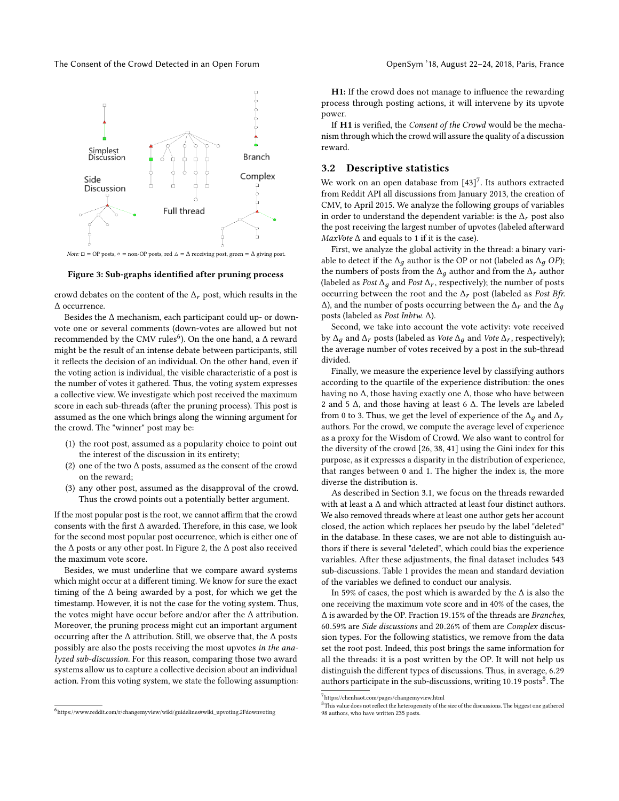<span id="page-4-0"></span>The Consent of the Crowd Detected in an Open Forum Open Sym '18, August 22-24, 2018, Paris, France



 $Note: \Box = \textsc{OP}$  posts, <br> ◦ = non-OP posts, red  $\vartriangle = \Delta$  receiving post, green =<br>  $\Delta$  giving post.

#### Figure 3: Sub-graphs identified after pruning process

crowd debates on the content of the  $\Delta_r$  post, which results in the ∆ occurrence.

Besides the ∆ mechanism, each participant could up- or downvote one or several comments (down-votes are allowed but not recommended by the CMV rules<sup>[6](#page-4-1)</sup>). On the one hand, a  $\Delta$  reward<br>might be the result of an intense debate between participants, still might be the result of an intense debate between participants, still it reflects the decision of an individual. On the other hand, even if the voting action is individual, the visible characteristic of a post is the number of votes it gathered. Thus, the voting system expresses a collective view. We investigate which post received the maximum score in each sub-threads (after the pruning process). This post is assumed as the one which brings along the winning argument for the crowd. The "winner" post may be:

- (1) the root post, assumed as a popularity choice to point out the interest of the discussion in its entirety;
- (2) one of the two ∆ posts, assumed as the consent of the crowd on the reward;
- (3) any other post, assumed as the disapproval of the crowd. Thus the crowd points out a potentially better argument.

If the most popular post is the root, we cannot affirm that the crowd consents with the first ∆ awarded. Therefore, in this case, we look for the second most popular post occurrence, which is either one of the ∆ posts or any other post. In Figure [2,](#page-3-0) the ∆ post also received the maximum vote score.

Besides, we must underline that we compare award systems which might occur at a different timing. We know for sure the exact timing of the ∆ being awarded by a post, for which we get the timestamp. However, it is not the case for the voting system. Thus, the votes might have occur before and/or after the ∆ attribution. Moreover, the pruning process might cut an important argument occurring after the ∆ attribution. Still, we observe that, the ∆ posts possibly are also the posts receiving the most upvotes in the analyzed sub-discussion. For this reason, comparing those two award systems allow us to capture a collective decision about an individual action. From this voting system, we state the following assumption:

H1: If the crowd does not manage to influence the rewarding process through posting actions, it will intervene by its upvote power.

If H1 is verified, the Consent of the Crowd would be the mechanism through which the crowd will assure the quality of a discussion reward.

### 3.2 Descriptive statistics

We work on an open database from  $[43]^7$  $[43]^7$  $[43]^7$ . Its authors extracted from Reddit API all discussions from January 2013, the creation of CMV, to April 2015. We analyze the following groups of variables in order to understand the dependent variable: is the  $\Delta_r$  post also the post receiving the largest number of upvotes (labeled afterward  $MaxVote \Delta$  and equals to 1 if it is the case).

First, we analyze the global activity in the thread: a binary variable to detect if the  $\Delta_q$  author is the OP or not (labeled as  $\Delta_q$  OP); the numbers of posts from the  $\Delta_g$  author and from the  $\Delta_r$  author (labeled as *Post*  $\Delta_q$  and *Post*  $\Delta_r$ , respectively); the number of posts occurring between the root and the  $\Delta_r$  post (labeled as Post Bfr.  $\Delta$ ), and the number of posts occurring between the  $\Delta_r$  and the  $\Delta_q$ posts (labeled as Post Inbtw. ∆).

Second, we take into account the vote activity: vote received by  $\Delta_q$  and  $\Delta_r$  posts (labeled as *Vote*  $\Delta_q$  and *Vote*  $\Delta_r$ , respectively); the average number of votes received by a post in the sub-thread divided.

Finally, we measure the experience level by classifying authors according to the quartile of the experience distribution: the ones having no ∆, those having exactly one ∆, those who have between <sup>2</sup> and <sup>5</sup> ∆, and those having at least <sup>6</sup> ∆. The levels are labeled from 0 to 3. Thus, we get the level of experience of the  $\Delta_q$  and  $\Delta_r$ authors. For the crowd, we compute the average level of experience as a proxy for the Wisdom of Crowd. We also want to control for the diversity of the crowd [\[26,](#page-7-24) [38,](#page-8-18) [41\]](#page-8-19) using the Gini index for this purpose, as it expresses a disparity in the distribution of experience, that ranges between 0 and 1. The higher the index is, the more diverse the distribution is.

As described in Section [3.1,](#page-3-2) we focus on the threads rewarded with at least a ∆ and which attracted at least four distinct authors. We also removed threads where at least one author gets her account closed, the action which replaces her pseudo by the label "deleted" in the database. In these cases, we are not able to distinguish authors if there is several "deleted", which could bias the experience variables. After these adjustments, the final dataset includes 543 sub-discussions. Table [1](#page-5-0) provides the mean and standard deviation of the variables we defined to conduct our analysis.

In 59% of cases, the post which is awarded by the ∆ is also the one receiving the maximum vote score and in 40% of the cases, the ∆ is awarded by the OP. Fraction <sup>19</sup>.15% of the threads are Branches, <sup>60</sup>.59% are Side discussions and <sup>20</sup>.26% of them are Complex discussion types. For the following statistics, we remove from the data set the root post. Indeed, this post brings the same information for all the threads: it is a post written by the OP. It will not help us distinguish the different types of discussions. Thus, in average, <sup>6</sup>.<sup>29</sup> authors participate in the sub-discussions, writing 10.19 posts<sup>[8](#page-4-3)</sup>. The

<span id="page-4-1"></span><sup>6</sup> https://www.reddit.com/r/changemyview/wiki/guidelines#wiki\_upvoting.2Fdownvoting

<span id="page-4-2"></span><sup>7</sup> https://chenhaot.com/pages/changemyview.html

<span id="page-4-3"></span> $8$ This value does not reflect the heterogeneity of the size of the discussions. The biggest one gathered 98 authors, who have written 235 posts.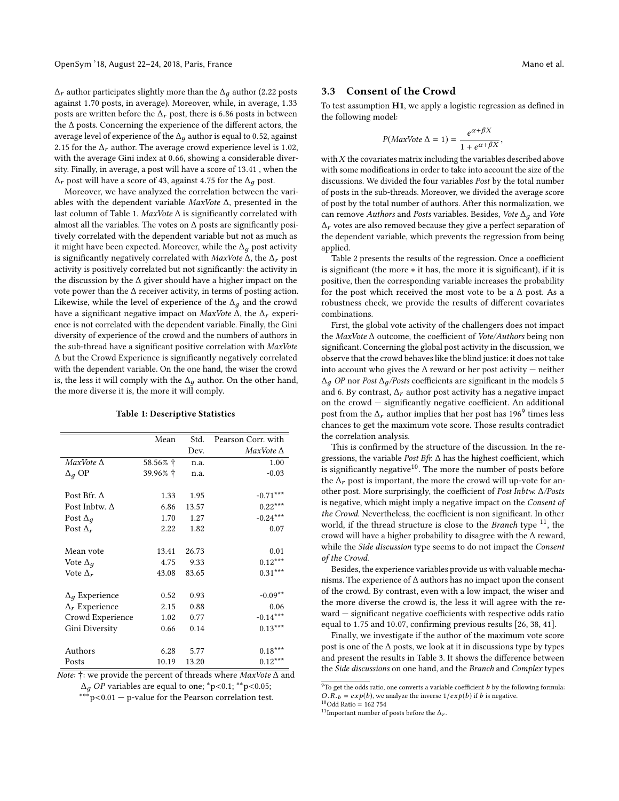$\Delta$ <sub>r</sub> author participates slightly more than the  $\Delta$ <sub>*q*</sub> author (2.22 posts against <sup>1</sup>.<sup>70</sup> posts, in average). Moreover, while, in average, <sup>1</sup>.<sup>33</sup> posts are written before the  $\Delta_r$  post, there is 6.86 posts in between the ∆ posts. Concerning the experience of the different actors, the average level of experience of the  $\Delta_q$  author is equal to 0.52, against 2.15 for the  $\Delta_r$  author. The average crowd experience level is 1.02, with the average Gini index at <sup>0</sup>.66, showing a considerable diversity. Finally, in average, a post will have a score of <sup>13</sup>.<sup>41</sup> , when the  $\Delta$ r post will have a score of 43, against 4.75 for the  $\Delta$ <sup>*q*</sup> post.

Moreover, we have analyzed the correlation between the variables with the dependent variable MaxVote ∆, presented in the last column of Table [1.](#page-5-0) MaxVote ∆ is significantly correlated with almost all the variables. The votes on ∆ posts are significantly positively correlated with the dependent variable but not as much as it might have been expected. Moreover, while the  $\Delta_q$  post activity is significantly negatively correlated with  $MaxVote \Delta$ , the  $\Delta_r$  post activity is positively correlated but not significantly: the activity in the discussion by the ∆ giver should have a higher impact on the vote power than the ∆ receiver activity, in terms of posting action. Likewise, while the level of experience of the  $\Delta_q$  and the crowd have a significant negative impact on MaxVote  $\Delta$ , the  $\Delta_r$  experience is not correlated with the dependent variable. Finally, the Gini diversity of experience of the crowd and the numbers of authors in the sub-thread have a significant positive correlation with MaxVote ∆ but the Crowd Experience is significantly negatively correlated with the dependent variable. On the one hand, the wiser the crowd is, the less it will comply with the  $\Delta_q$  author. On the other hand, the more diverse it is, the more it will comply.

<span id="page-5-0"></span>

|                       | Mean     | Std.  | Pearson Corr. with |
|-----------------------|----------|-------|--------------------|
|                       |          | Dev.  | $MaxVote \Delta$   |
| $MaxVote \wedge$      | 58.56% † | n.a.  | 1.00               |
| $\Delta_q$ OP         | 39.96% † | n.a.  | $-0.03$            |
| Post Bfr. A           | 1.33     | 1.95  | $-0.71***$         |
|                       |          |       |                    |
| Post Inbtw. A         | 6.86     | 13.57 | $0.22***$          |
| Post $\Delta_q$       | 1.70     | 1.27  | $-0.24***$         |
| Post $\Delta_r$       | 2.22     | 1.82  | 0.07               |
| Mean vote             | 13.41    | 26.73 | 0.01               |
| Vote $\Delta_q$       | 4.75     | 9.33  | $0.12***$          |
| Vote $\Delta_r$       | 43.08    | 83.65 | $0.31***$          |
| $\Delta_q$ Experience | 0.52     | 0.93  | $-0.09**$          |
| $\Delta_r$ Experience | 2.15     | 0.88  | 0.06               |
| Crowd Experience      | 1.02     | 0.77  | $-0.14***$         |
| Gini Diversity        | 0.66     | 0.14  | $0.13***$          |
| Authors               | 6.28     | 5.77  | $0.18***$          |
| Posts                 | 10.19    | 13.20 | $0.12***$          |

#### Table 1: Descriptive Statistics

Note: †: we provide the percent of threads where MaxVote ∆ and  $\Delta_q$  OP variables are equal to one; \*p<0.1; \*\*p<0.05;

∗∗∗p<0.01 — p-value for the Pearson correlation test.

### 3.3 Consent of the Crowd

To test assumption H1, we apply a logistic regression as defined in the following model:

$$
P(MaxVote \Delta = 1) = \frac{e^{\alpha + \beta X}}{1 + e^{\alpha + \beta X}},
$$

with  $X$  the covariates matrix including the variables described above with some modifications in order to take into account the size of the discussions. We divided the four variables Post by the total number of posts in the sub-threads. Moreover, we divided the average score of post by the total number of authors. After this normalization, we can remove Authors and Posts variables. Besides, Vote  $\Delta_q$  and Vote  $\Delta_r$  votes are also removed because they give a perfect separation of the dependent variable, which prevents the regression from being applied.

Table [2](#page-6-0) presents the results of the regression. Once a coefficient is significant (the more ∗ it has, the more it is significant), if it is positive, then the corresponding variable increases the probability for the post which received the most vote to be a  $\Delta$  post. As a robustness check, we provide the results of different covariates combinations.

First, the global vote activity of the challengers does not impact the MaxVote ∆ outcome, the coefficient of Vote/Authors being non significant. Concerning the global post activity in the discussion, we observe that the crowd behaves like the blind justice: it does not take into account who gives the  $\Delta$  reward or her post activity — neither  $\Delta_q$  OP nor Post  $\Delta_q$ /Posts coefficients are significant in the models 5 and 6. By contrast,  $\Delta_r$  author post activity has a negative impact on the crowd — significantly negative coefficient. An additional post from the  $\Delta_r$  author implies that her post has 1[9](#page-5-1)6<sup>9</sup> times less<br>changes to get the maximum vote score. Those results contradict chances to get the maximum vote score. Those results contradict the correlation analysis.

This is confirmed by the structure of the discussion. In the regressions, the variable *Post Bfr.* ∆ has the highest coefficient, which is significantly negative<sup>[10](#page-5-2)</sup>. The more the number of posts before the  $\Delta_r$  post is important, the more the crowd will up-vote for another post. More surprisingly, the coefficient of Post Inbtw. ∆/Posts is negative, which might imply a negative impact on the Consent of the Crowd. Nevertheless, the coefficient is non significant. In other world, if the thread structure is close to the *Branch* type  $11$ , the crowd will have a higher probability to disagree with the ∆ reward, while the Side discussion type seems to do not impact the Consent of the Crowd.

Besides, the experience variables provide us with valuable mechanisms. The experience of ∆ authors has no impact upon the consent of the crowd. By contrast, even with a low impact, the wiser and the more diverse the crowd is, the less it will agree with the reward — significant negative coefficients with respective odds ratio equal to <sup>1</sup>.<sup>75</sup> and <sup>10</sup>.07, confirming previous results [\[26,](#page-7-24) [38,](#page-8-18) [41\]](#page-8-19).

Finally, we investigate if the author of the maximum vote score post is one of the  $\Delta$  posts, we look at it in discussions type by types and present the results in Table [3.](#page-6-1) It shows the difference between the Side discussions on one hand, and the Branch and Complex types

<span id="page-5-1"></span> $9$ To get the odds ratio, one converts a variable coefficient *b* by the following formula:  $O.R._b = exp(b)$ , we analyze the inverse  $1/exp(b)$  if b is negative.

<span id="page-5-2"></span> $10$ Odd Ratio = 162 754

<span id="page-5-3"></span><sup>&</sup>lt;sup>11</sup>Important number of posts before the  $\Delta_r$ .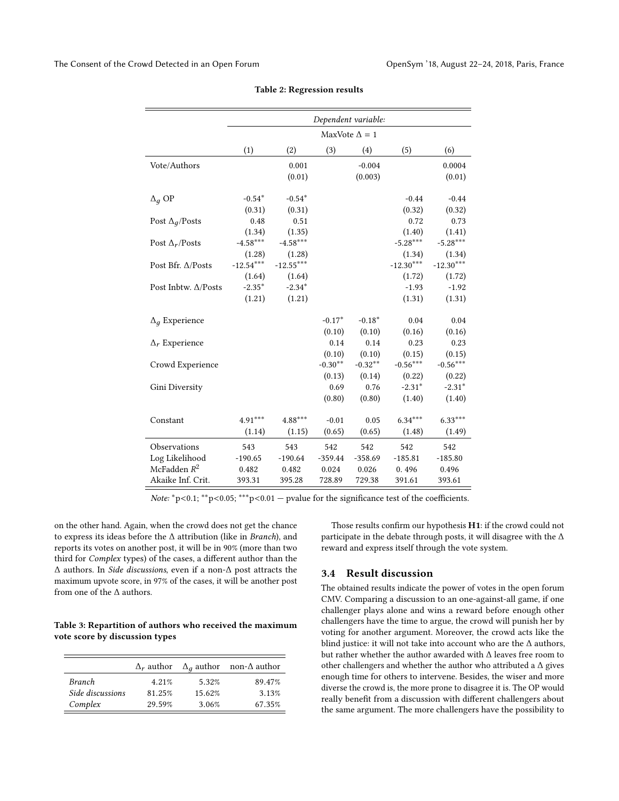<span id="page-6-0"></span>

|                                                                                                                                | Dependent variable:                                             |                                                                 |                                                |                                                       |                                                                           |                                                                                         |  |
|--------------------------------------------------------------------------------------------------------------------------------|-----------------------------------------------------------------|-----------------------------------------------------------------|------------------------------------------------|-------------------------------------------------------|---------------------------------------------------------------------------|-----------------------------------------------------------------------------------------|--|
|                                                                                                                                | MaxVote $\Delta = 1$                                            |                                                                 |                                                |                                                       |                                                                           |                                                                                         |  |
|                                                                                                                                | (1)                                                             | (2)                                                             | (3)                                            | (4)                                                   | (5)                                                                       | (6)                                                                                     |  |
| Vote/Authors                                                                                                                   |                                                                 | 0.001                                                           |                                                | $-0.004$                                              |                                                                           | 0.0004                                                                                  |  |
|                                                                                                                                |                                                                 | (0.01)                                                          |                                                | (0.003)                                               |                                                                           | (0.01)                                                                                  |  |
| $\Delta$ g OP                                                                                                                  | $-0.54*$                                                        | $-0.54*$                                                        |                                                |                                                       | $-0.44$                                                                   | $-0.44$                                                                                 |  |
|                                                                                                                                | (0.31)                                                          | (0.31)                                                          |                                                |                                                       | (0.32)                                                                    | (0.32)                                                                                  |  |
| Post $\Delta_q$ /Posts                                                                                                         | 0.48                                                            | 0.51                                                            |                                                |                                                       | 0.72                                                                      | 0.73                                                                                    |  |
|                                                                                                                                | (1.34)                                                          | (1.35)                                                          |                                                |                                                       | (1.40)                                                                    | (1.41)                                                                                  |  |
| Post $\Delta_r$ /Posts                                                                                                         | $-4.58***$                                                      | $-4.58***$                                                      |                                                |                                                       | $-5.28***$                                                                | $-5.28***$                                                                              |  |
|                                                                                                                                | (1.28)                                                          | (1.28)                                                          |                                                |                                                       | (1.34)                                                                    | (1.34)                                                                                  |  |
| Post Bfr. Δ/Posts                                                                                                              |                                                                 |                                                                 |                                                |                                                       |                                                                           |                                                                                         |  |
|                                                                                                                                | (1.64)                                                          | (1.64)                                                          |                                                |                                                       | (1.72)                                                                    | (1.72)                                                                                  |  |
| Post Inbtw. ∆/Posts                                                                                                            | $-2.35*$                                                        | $-2.34*$                                                        |                                                |                                                       | $-1.93$                                                                   | $-1.92$                                                                                 |  |
|                                                                                                                                | (1.21)                                                          | (1.21)                                                          |                                                |                                                       | (1.31)                                                                    | (1.31)                                                                                  |  |
|                                                                                                                                |                                                                 |                                                                 | $-0.17*$                                       | $-0.18*$                                              | 0.04                                                                      | 0.04                                                                                    |  |
|                                                                                                                                |                                                                 |                                                                 | (0.10)                                         | (0.10)                                                | (0.16)                                                                    | (0.16)                                                                                  |  |
| $\Delta_r$ Experience                                                                                                          |                                                                 |                                                                 | 0.14                                           | 0.14                                                  | 0.23                                                                      | 0.23                                                                                    |  |
|                                                                                                                                |                                                                 |                                                                 | (0.10)                                         |                                                       |                                                                           |                                                                                         |  |
|                                                                                                                                |                                                                 |                                                                 | $-0.30**$                                      | $-0.32**$                                             | $-0.56***$                                                                |                                                                                         |  |
|                                                                                                                                |                                                                 |                                                                 | (0.13)                                         | (0.14)                                                | (0.22)                                                                    | (0.22)                                                                                  |  |
| Gini Diversity                                                                                                                 |                                                                 |                                                                 | 0.69                                           | 0.76                                                  | $-2.31*$                                                                  | $-2.31*$                                                                                |  |
|                                                                                                                                |                                                                 |                                                                 | (0.80)                                         | (0.80)                                                | (1.40)                                                                    | (1.40)                                                                                  |  |
|                                                                                                                                |                                                                 |                                                                 |                                                |                                                       |                                                                           |                                                                                         |  |
|                                                                                                                                | (1.14)                                                          | (1.15)                                                          | (0.65)                                         | (0.65)                                                | (1.48)                                                                    | (1.49)                                                                                  |  |
|                                                                                                                                |                                                                 |                                                                 |                                                |                                                       |                                                                           |                                                                                         |  |
|                                                                                                                                |                                                                 |                                                                 |                                                |                                                       |                                                                           |                                                                                         |  |
|                                                                                                                                |                                                                 |                                                                 |                                                |                                                       |                                                                           |                                                                                         |  |
|                                                                                                                                |                                                                 |                                                                 |                                                |                                                       |                                                                           |                                                                                         |  |
| $\Delta_q$ Experience<br>Crowd Experience<br>Constant<br>Observations<br>Log Likelihood<br>McFadden $R^2$<br>Akaike Inf. Crit. | $-12.54***$<br>$4.91***$<br>543<br>$-190.65$<br>0.482<br>393.31 | $-12.55***$<br>$4.88***$<br>543<br>$-190.64$<br>0.482<br>395.28 | $-0.01$<br>542<br>$-359.44$<br>0.024<br>728.89 | (0.10)<br>0.05<br>542<br>$-358.69$<br>0.026<br>729.38 | $-12.30***$<br>(0.15)<br>$6.34***$<br>542<br>$-185.81$<br>0.496<br>391.61 | $-12.30***$<br>(0.15)<br>$-0.56***$<br>$6.33***$<br>542<br>$-185.80$<br>0.496<br>393.61 |  |

#### Table 2: Regression results

Note: \*p<0.1; \*\*p<0.05; \*\*\*p<0.01 − pvalue for the significance test of the coefficients.

on the other hand. Again, when the crowd does not get the chance to express its ideas before the ∆ attribution (like in Branch), and reports its votes on another post, it will be in 90% (more than two third for Complex types) of the cases, a different author than the ∆ authors. In Side discussions, even if a non-∆ post attracts the maximum upvote score, in 97% of the cases, it will be another post from one of the ∆ authors.

### <span id="page-6-1"></span>Table 3: Repartition of authors who received the maximum vote score by discussion types

|                  | $\Delta_r$ author |        | $\Delta_a$ author non- $\Delta$ author |
|------------------|-------------------|--------|----------------------------------------|
| <b>Branch</b>    | 4.21%             | 5.32%  | 89.47%                                 |
| Side discussions | 81.25%            | 15.62% | 3.13%                                  |
| Complex          | 29.59%            | 3.06%  | 67.35%                                 |

Those results confirm our hypothesis H1: if the crowd could not participate in the debate through posts, it will disagree with the ∆ reward and express itself through the vote system.

### <span id="page-6-2"></span>3.4 Result discussion

The obtained results indicate the power of votes in the open forum CMV. Comparing a discussion to an one-against-all game, if one challenger plays alone and wins a reward before enough other challengers have the time to argue, the crowd will punish her by voting for another argument. Moreover, the crowd acts like the blind justice: it will not take into account who are the ∆ authors, but rather whether the author awarded with ∆ leaves free room to other challengers and whether the author who attributed a ∆ gives enough time for others to intervene. Besides, the wiser and more diverse the crowd is, the more prone to disagree it is. The OP would really benefit from a discussion with different challengers about the same argument. The more challengers have the possibility to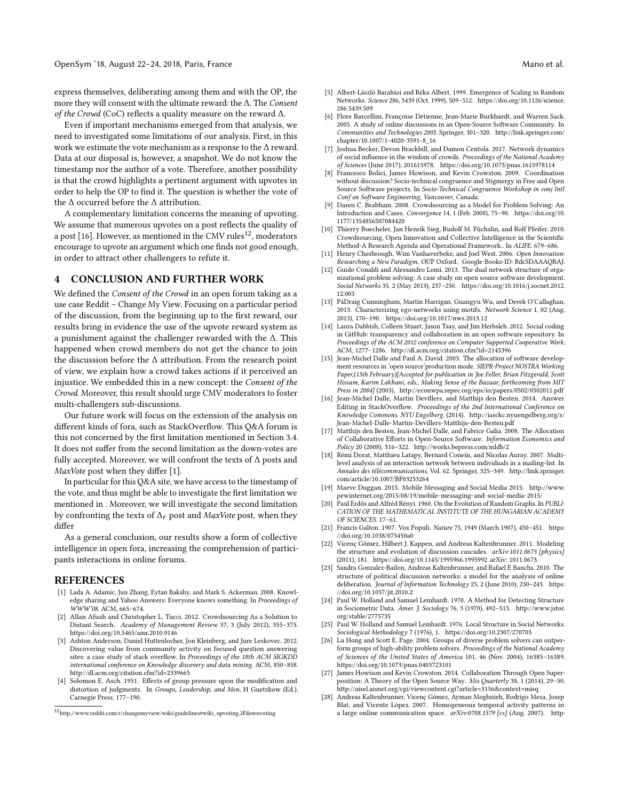express themselves, deliberating among them and with the OP, the more they will consent with the ultimate reward: the ∆. The Consent of the Crowd (CoC) reflects a quality measure on the reward  $\Delta$ .

Even if important mechanisms emerged from that analysis, we need to investigated some limitations of our analysis. First, in this work we estimate the vote mechanism as a response to the ∆ reward. Data at our disposal is, however, a snapshot. We do not know the timestamp nor the author of a vote. Therefore, another possibility is that the crowd highlights a pertinent argument with upvotes in order to help the OP to find it. The question is whether the vote of the ∆ occurred before the ∆ attribution.

A complementary limitation concerns the meaning of upvoting. We assume that numerous upvotes on a post reflects the quality of a post [\[16\]](#page-7-15). However, as mentioned in the CMV rules<sup>[12](#page-7-28)</sup>, moderators encourage to upvote an argument which one finds not good enough, in order to attract other challengers to refute it.

# 4 CONCLUSION AND FURTHER WORK

We defined the Consent of the Crowd in an open forum taking as a use case Reddit – Change My View. Focusing on a particular period of the discussion, from the beginning up to the first reward, our results bring in evidence the use of the upvote reward system as a punishment against the challenger rewarded with the ∆. This happened when crowd members do not get the chance to join the discussion before the ∆ attribution. From the research point of view, we explain how a crowd takes actions if it perceived an injustice. We embedded this in a new concept: the Consent of the Crowd. Moreover, this result should urge CMV moderators to foster multi-challengers sub-discussions.

Our future work will focus on the extension of the analysis on different kinds of fora, such as StackOverflow. This Q&A forum is this not concerned by the first limitation mentioned in Section [3.4.](#page-6-2) It does not suffer from the second limitation as the down-votes are fully accepted. Moreover, we will confront the texts of  $\Delta$  posts and MaxVote post when they differ [\[1\]](#page-7-12).

In particular for this Q&A site, we have access to the timestamp of the vote, and thus might be able to investigate the first limitation we mentioned in . Moreover, we will investigate the second limitation by confronting the texts of  $\Delta_r$  post and *MaxVote* post, when they differ

As a general conclusion, our results show a form of collective intelligence in open fora, increasing the comprehension of participants interactions in online forums.

#### REFERENCES

- <span id="page-7-12"></span>[1] Lada A. Adamic, Jun Zhang, Eytan Bakshy, and Mark S. Ackerman. 2008. Knowledge sharing and Yahoo Answers: Everyone knows something. In Proceedings of WWW'08. ACM, 665–674.
- <span id="page-7-23"></span>[2] Allan Afuah and Christopher L. Tucci. 2012. Crowdsourcing As a Solution to Distant Search. Academy of Management Review 37, 3 (July 2012), 355–375. <https://doi.org/10.5465/amr.2010.0146>
- <span id="page-7-14"></span>[3] Ashton Anderson, Daniel Huttenlocher, Jon Kleinberg, and Jure Leskovec. 2012. Discovering value from community activity on focused question answering sites: a case study of stack overflow. In Proceedings of the 18th ACM SIGKDD international conference on Knowledge discovery and data mining. ACM, 850–858. <http://dl.acm.org/citation.cfm?id=2339665>
- <span id="page-7-25"></span>[4] Solomon E. Asch. 1951. Effects of group pressure upon the modification and distortion of judgments. In Groups, Leadership, and Men, H Guetzkow (Ed.). Carnegie Press, 177–190.
- <span id="page-7-5"></span>[5] Albert-László Barabási and Réka Albert. 1999. Emergence of Scaling in Random Networks. Science 286, 5439 (Oct. 1999), 509–512. [https://doi.org/10.1126/science.](https://doi.org/10.1126/science.286.5439.509) [286.5439.509](https://doi.org/10.1126/science.286.5439.509)
- <span id="page-7-3"></span>[6] Flore Barcellini, Françoise Détienne, Jean-Marie Burkhardt, and Warren Sack. 2005. A study of online discussions in an Open-Source Software Community. In Communities and Technologies 2005. Springer, 301–320. [http://link.springer.com/](http://link.springer.com/chapter/10.1007/1-4020-3591-8_16) [chapter/10.1007/1-4020-3591-8\\_16](http://link.springer.com/chapter/10.1007/1-4020-3591-8_16)
- <span id="page-7-26"></span>[7] Joshua Becker, Devon Brackbill, and Damon Centola. 2017. Network dynamics of social influence in the wisdom of crowds. Proceedings of the National Academy of Sciences (June 2017), 201615978.<https://doi.org/10.1073/pnas.1615978114>
- <span id="page-7-17"></span>[8] Francesco Bolici, James Howison, and Kevin Crowston. 2009. Coordination without discussion? Socio-technical congruence and Stigmergy in Free and Open Source Software projects. In Socio-Technical Congruence Workshop in conj Intl Conf on Software Engineering, Vancouver, Canada.
- <span id="page-7-21"></span>[9] Daren C. Brabham. 2008. Crowdsourcing as a Model for Problem Solving: An Introduction and Cases. Convergence 14, 1 (Feb. 2008), 75–90. [https://doi.org/10.](https://doi.org/10.1177/1354856507084420) [1177/1354856507084420](https://doi.org/10.1177/1354856507084420)
- <span id="page-7-2"></span>[10] Thierry Buecheler, Jan Henrik Sieg, Rudolf M. Füchslin, and Rolf Pfeifer. 2010. Crowdsourcing, Open Innovation and Collective Intelligence in the Scientific Method-A Research Agenda and Operational Framework.. In ALIFE. 679–686.
- <span id="page-7-22"></span>[11] Henry Chesbrough, Wim Vanhaverbeke, and Joel West. 2006. Open Innovation: Researching a New Paradigm. OUP Oxford. Google-Books-ID: RdcSDAAAQBAJ.
- <span id="page-7-13"></span>[12] Guido Conaldi and Alessandro Lomi. 2013. The dual network structure of organizational problem solving: A case study on open source software development. Social Networks 35, 2 (May 2013), 237–250. [https://doi.org/10.1016/j.socnet.2012.](https://doi.org/10.1016/j.socnet.2012.12.003) [12.003](https://doi.org/10.1016/j.socnet.2012.12.003)
- <span id="page-7-10"></span>[13] PáDraig Cunningham, Martin Harrigan, Guangyu Wu, and Derek O'Callaghan. 2013. Characterizing ego-networks using motifs. Network Science 1, 02 (Aug. 2013), 170–190.<https://doi.org/10.1017/nws.2013.12>
- <span id="page-7-19"></span>[14] Laura Dabbish, Colleen Stuart, Jason Tsay, and Jim Herbsleb. 2012. Social coding in GitHub: transparency and collaboration in an open software repository. In Proceedings of the ACM 2012 conference on Computer Supported Cooperative Work. ACM, 1277–1286.<http://dl.acm.org/citation.cfm?id=2145396>
- <span id="page-7-18"></span>[15] Jean-Michel Dalle and Paul A. David. 2003. The allocation of software development resources in 'open source' production mode. SIEPR-Project NOSTRA Working Paper,(15th February)[Accepted for publication in Joe Feller, Brian Fitzgerald, Scott Hissam, Karim Lakhani, eds., Making Sense of the Bazaar, forthcoming from MIT Press in 2004] (2003).<http://econwpa.repec.org/eps/io/papers/0502/0502011.pdf>
- <span id="page-7-15"></span>[16] Jean-Michel Dalle, Martin Devillers, and Matthijs den Besten. 2014. Answer Editing in StackOverflow. Proceedings of the 2nd International Conference on Knowledge Commons. NYU Engelberg. (2014). [http://iasckc.nyuengelberg.org/s/](http://iasckc.nyuengelberg.org/s/Jean-Michel-Dalle-Martin-Devillers-Matthijs-den-Besten.pdf) [Jean-Michel-Dalle-Martin-Devillers-Matthijs-den-Besten.pdf](http://iasckc.nyuengelberg.org/s/Jean-Michel-Dalle-Martin-Devillers-Matthijs-den-Besten.pdf)
- <span id="page-7-16"></span>[17] Matthijs den Besten, Jean-Michel Dalle, and Fabrice Galia. 2008. The Allocation of Collaborative Efforts in Open-Source Software. Information Economics and Policy 20 (2008), 316–322.<http://works.bepress.com/mldb/2>
- <span id="page-7-8"></span>[18] Rémi Dorat, Matthieu Latapy, Bernard Conein, and Nicolas Auray. 2007. Multilevel analysis of an interaction network between individuals in a mailing-list. In Annales des télécommunications, Vol. 62. Springer, 325–349. [http://link.springer.](http://link.springer.com/article/10.1007/BF03253264) [com/article/10.1007/BF03253264](http://link.springer.com/article/10.1007/BF03253264)
- <span id="page-7-0"></span>[19] Maeve Duggan. 2015. Mobile Messaging and Social Media 2015. [http://www.](http://www.pewinternet.org/2015/08/19/mobile-messaging-and-social-media-2015/) [pewinternet.org/2015/08/19/mobile-messaging-and-social-media-2015/](http://www.pewinternet.org/2015/08/19/mobile-messaging-and-social-media-2015/)
- <span id="page-7-4"></span>[20] Paul Erdős and Alfréd Rényi. 1960. On the Evolution of Random Graphs. In PUBLI-CATION OF THE MATHEMATICAL INSTITUTE OF THE HUNGARIAN ACADEMY OF SCIENCES. 17–61.
- <span id="page-7-1"></span>[21] Francis Galton. 1907. Vox Populi. Nature 75, 1949 (March 1907), 450–451. [https:](https://doi.org/10.1038/075450a0) [//doi.org/10.1038/075450a0](https://doi.org/10.1038/075450a0)
- <span id="page-7-7"></span>[22] Vicenç Gómez, Hilbert J. Kappen, and Andreas Kaltenbrunner. 2011. Modeling the structure and evolution of discussion cascades. arXiv:1011.0673 [physics] (2011), 181.<https://doi.org/10.1145/1995966.1995992> arXiv: 1011.0673.
- <span id="page-7-27"></span>[23] Sandra Gonzalez-Bailon, Andreas Kaltenbrunner, and Rafael E Banchs. 2010. The structure of political discussion networks: a model for the analysis of online deliberation. Journal of Information Technology 25, 2 (June 2010), 230–243. [https:](https://doi.org/10.1057/jit.2010.2) [//doi.org/10.1057/jit.2010.2](https://doi.org/10.1057/jit.2010.2)
- <span id="page-7-9"></span>[24] Paul W. Holland and Samuel Leinhardt. 1970. A Method for Detecting Structure in Sociometric Data. Amer. J. Sociology 76, 3 (1970), 492–513. [http://www.jstor.](http://www.jstor.org/stable/2775735) [org/stable/2775735](http://www.jstor.org/stable/2775735)
- <span id="page-7-11"></span>[25] Paul W. Holland and Samuel Leinhardt. 1976. Local Structure in Social Networks. Sociological Methodology 7 (1976), 1.<https://doi.org/10.2307/270703>
- <span id="page-7-24"></span>[26] Lu Hong and Scott E. Page. 2004. Groups of diverse problem solvers can outperform groups of high-ability problem solvers. Proceedings of the National Academy of Sciences of the United States of America 101, 46 (Nov. 2004), 16385–16389. <https://doi.org/10.1073/pnas.0403723101>
- <span id="page-7-20"></span>[27] James Howison and Kevin Crowston. 2014. Collaboration Through Open Superposition: A Theory of the Open Source Way. Mis Quarterly 38, 1 (2014), 29–50. <http://aisel.aisnet.org/cgi/viewcontent.cgi?article=3156&context=misq>
- <span id="page-7-6"></span>[28] Andreas Kaltenbrunner, Vicenç Gómez, Ayman Moghnieh, Rodrigo Meza, Josep Blat, and Vicente López. 2007. Homogeneous temporal activity patterns in a large online communication space. arXiv:0708.1579 [cs] (Aug. 2007). [http:](http://arxiv.org/abs/0708.1579)

<span id="page-7-28"></span> $^{12}$ http://www.reddit.com/r/changemyview/wiki/guidelines#wiki\_upvoting.2Fdownvoting